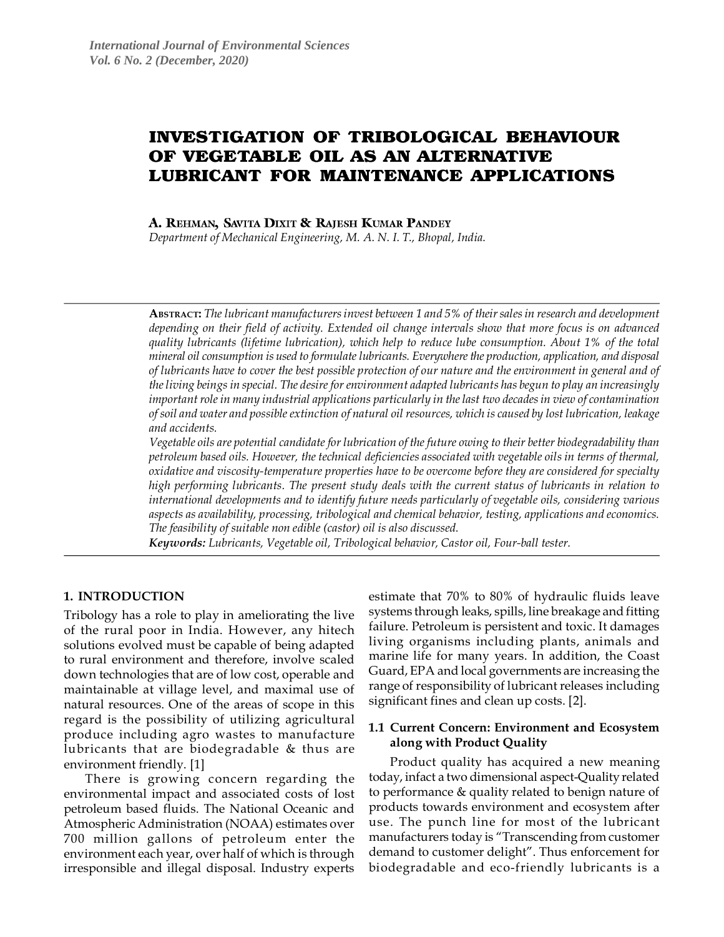# **INVESTIGATION OF TRIBOLOGICAL BEHAVIOUR** OF VEGETABLE OIL AS AN ALTERNATIVE **LUBRICANT FOR MAINTENANCE APPLICATIONS**

# A. REHMAN, SAVITA DIXIT & RAJESH KUMAR PANDEY

*Department of Mechanical Engineering, M. A. N. I. T., Bhopal, India.*

**ABSTRACT:** *The lubricant manufacturers invest between 1 and 5% of their sales in research and development depending on their field of activity. Extended oil change intervals show that more focus is on advanced quality lubricants (lifetime lubrication), which help to reduce lube consumption. About 1% of the total mineral oil consumption is used to formulate lubricants. Everywhere the production, application, and disposal of lubricants have to cover the best possible protection of our nature and the environment in general and of the living beings in special. The desire for environment adapted lubricants has begun to play an increasingly important role in many industrial applications particularly in the last two decades in view of contamination of soil and water and possible extinction of natural oil resources, which is caused by lost lubrication, leakage and accidents.*

*Vegetable oils are potential candidate for lubrication of the future owing to their better biodegradability than petroleum based oils. However, the technical deficiencies associated with vegetable oils in terms of thermal, oxidative and viscosity-temperature properties have to be overcome before they are considered for specialty high performing lubricants. The present study deals with the current status of lubricants in relation to international developments and to identify future needs particularly of vegetable oils, considering various aspects as availability, processing, tribological and chemical behavior, testing, applications and economics. The feasibility of suitable non edible (castor) oil is also discussed.*

*Keywords: Lubricants, Vegetable oil, Tribological behavior, Castor oil, Four-ball tester.*

## **1. INTRODUCTION**

Tribology has a role to play in ameliorating the live of the rural poor in India. However, any hitech solutions evolved must be capable of being adapted to rural environment and therefore, involve scaled down technologies that are of low cost, operable and maintainable at village level, and maximal use of natural resources. One of the areas of scope in this regard is the possibility of utilizing agricultural produce including agro wastes to manufacture lubricants that are biodegradable & thus are environment friendly. [1]

There is growing concern regarding the environmental impact and associated costs of lost petroleum based fluids. The National Oceanic and Atmospheric Administration (NOAA) estimates over 700 million gallons of petroleum enter the environment each year, over half of which is through irresponsible and illegal disposal. Industry experts estimate that 70% to 80% of hydraulic fluids leave systems through leaks, spills, line breakage and fitting failure. Petroleum is persistent and toxic. It damages living organisms including plants, animals and marine life for many years. In addition, the Coast Guard, EPA and local governments are increasing the range of responsibility of lubricant releases including significant fines and clean up costs. [2].

## **1.1 Current Concern: Environment and Ecosystem along with Product Quality**

Product quality has acquired a new meaning today, infact a two dimensional aspect-Quality related to performance & quality related to benign nature of products towards environment and ecosystem after use. The punch line for most of the lubricant manufacturers today is "Transcending from customer demand to customer delight". Thus enforcement for biodegradable and eco-friendly lubricants is a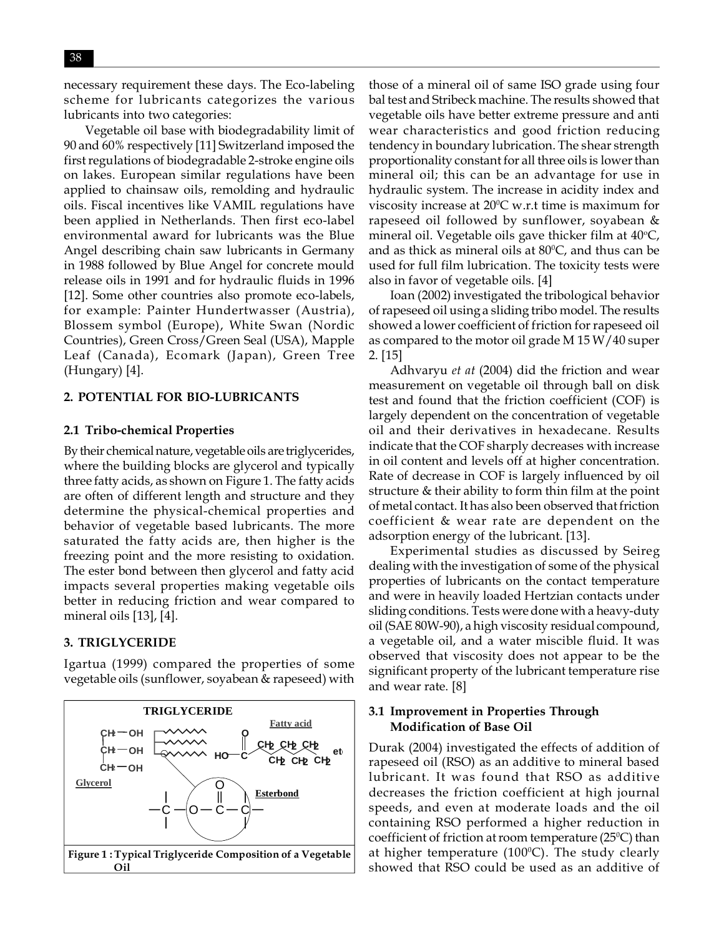necessary requirement these days. The Eco-labeling scheme for lubricants categorizes the various lubricants into two categories:

Vegetable oil base with biodegradability limit of 90 and 60% respectively [11] Switzerland imposed the first regulations of biodegradable 2-stroke engine oils on lakes. European similar regulations have been applied to chainsaw oils, remolding and hydraulic oils. Fiscal incentives like VAMIL regulations have been applied in Netherlands. Then first eco-label environmental award for lubricants was the Blue Angel describing chain saw lubricants in Germany in 1988 followed by Blue Angel for concrete mould release oils in 1991 and for hydraulic fluids in 1996 [12]. Some other countries also promote eco-labels, for example: Painter Hundertwasser (Austria), Blossem symbol (Europe), White Swan (Nordic Countries), Green Cross/Green Seal (USA), Mapple Leaf (Canada), Ecomark (Japan), Green Tree (Hungary) [4].

#### **2. POTENTIAL FOR BIO-LUBRICANTS**

#### **2.1 Tribo-chemical Properties**

By their chemical nature, vegetable oils are triglycerides, where the building blocks are glycerol and typically three fatty acids, as shown on Figure 1. The fatty acids are often of different length and structure and they determine the physical-chemical properties and behavior of vegetable based lubricants. The more saturated the fatty acids are, then higher is the freezing point and the more resisting to oxidation. The ester bond between then glycerol and fatty acid impacts several properties making vegetable oils better in reducing friction and wear compared to mineral oils [13], [4].

#### **3. TRIGLYCERIDE**

Igartua (1999) compared the properties of some vegetable oils (sunflower, soyabean & rapeseed) with



those of a mineral oil of same ISO grade using four bal test and Stribeck machine. The results showed that vegetable oils have better extreme pressure and anti wear characteristics and good friction reducing tendency in boundary lubrication. The shear strength proportionality constant for all three oils is lower than mineral oil; this can be an advantage for use in hydraulic system. The increase in acidity index and viscosity increase at  $20^{\circ}$ C w.r.t time is maximum for rapeseed oil followed by sunflower, soyabean & mineral oil. Vegetable oils gave thicker film at  $40^{\circ}\textrm{C}$ , and as thick as mineral oils at  $80^{\circ}$ C, and thus can be used for full film lubrication. The toxicity tests were also in favor of vegetable oils. [4]

Ioan (2002) investigated the tribological behavior of rapeseed oil using a sliding tribo model. The results showed a lower coefficient of friction for rapeseed oil as compared to the motor oil grade M 15 W/40 super 2. [15]

Adhvaryu *et at* (2004) did the friction and wear measurement on vegetable oil through ball on disk test and found that the friction coefficient (COF) is largely dependent on the concentration of vegetable oil and their derivatives in hexadecane. Results indicate that the COF sharply decreases with increase in oil content and levels off at higher concentration. Rate of decrease in COF is largely influenced by oil structure & their ability to form thin film at the point of metal contact. It has also been observed that friction coefficient & wear rate are dependent on the adsorption energy of the lubricant. [13].

Experimental studies as discussed by Seireg dealing with the investigation of some of the physical properties of lubricants on the contact temperature and were in heavily loaded Hertzian contacts under sliding conditions. Tests were done with a heavy-duty oil (SAE 80W-90), a high viscosity residual compound, a vegetable oil, and a water miscible fluid. It was observed that viscosity does not appear to be the significant property of the lubricant temperature rise and wear rate. [8]

## **3.1 Improvement in Properties Through Modification of Base Oil**

Durak (2004) investigated the effects of addition of rapeseed oil (RSO) as an additive to mineral based lubricant. It was found that RSO as additive decreases the friction coefficient at high journal speeds, and even at moderate loads and the oil containing RSO performed a higher reduction in coefficient of friction at room temperature (25 $\rm ^{o}C$ ) than at higher temperature (100ºC). The study clearly showed that RSO could be used as an additive of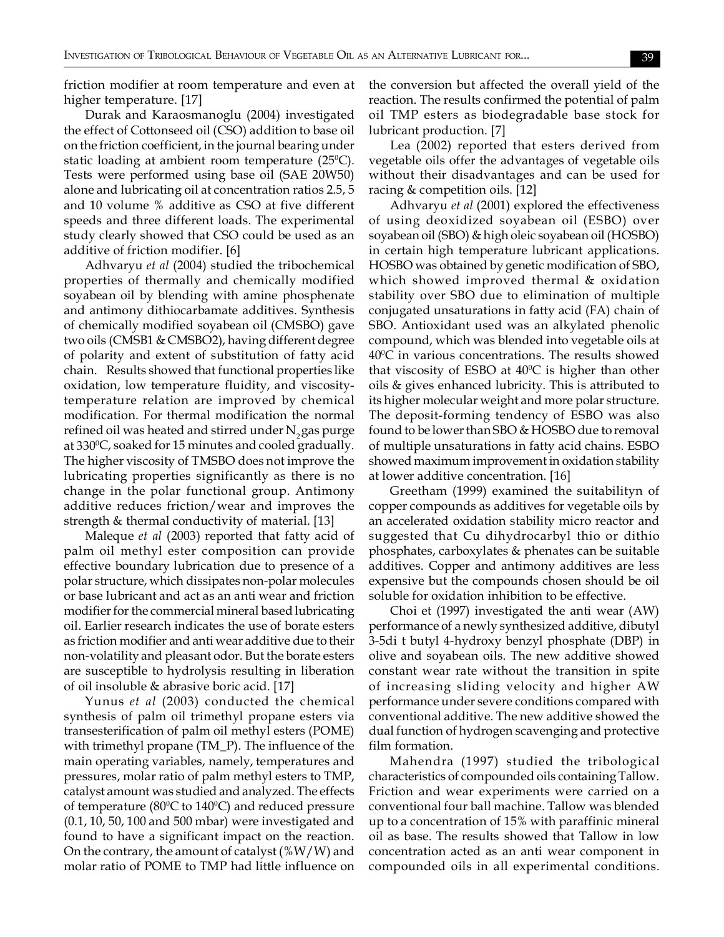friction modifier at room temperature and even at higher temperature. [17]

Durak and Karaosmanoglu (2004) investigated the effect of Cottonseed oil (CSO) addition to base oil on the friction coefficient, in the journal bearing under static loading at ambient room temperature  $(25^{\circ}C)$ . Tests were performed using base oil (SAE 20W50) alone and lubricating oil at concentration ratios 2.5, 5 and 10 volume % additive as CSO at five different speeds and three different loads. The experimental study clearly showed that CSO could be used as an additive of friction modifier. [6]

Adhvaryu *et al* (2004) studied the tribochemical properties of thermally and chemically modified soyabean oil by blending with amine phosphenate and antimony dithiocarbamate additives. Synthesis of chemically modified soyabean oil (CMSBO) gave two oils (CMSB1 & CMSBO2), having different degree of polarity and extent of substitution of fatty acid chain. Results showed that functional properties like oxidation, low temperature fluidity, and viscositytemperature relation are improved by chemical modification. For thermal modification the normal refined oil was heated and stirred under  $N$ <sub>2</sub> gas purge at 330°C, soaked for 15 minutes and cooled gradually. The higher viscosity of TMSBO does not improve the lubricating properties significantly as there is no change in the polar functional group. Antimony additive reduces friction/wear and improves the strength & thermal conductivity of material. [13]

Maleque *et al* (2003) reported that fatty acid of palm oil methyl ester composition can provide effective boundary lubrication due to presence of a polar structure, which dissipates non-polar molecules or base lubricant and act as an anti wear and friction modifier for the commercial mineral based lubricating oil. Earlier research indicates the use of borate esters as friction modifier and anti wear additive due to their non-volatility and pleasant odor. But the borate esters are susceptible to hydrolysis resulting in liberation of oil insoluble & abrasive boric acid. [17]

Yunus *et al* (2003) conducted the chemical synthesis of palm oil trimethyl propane esters via transesterification of palm oil methyl esters (POME) with trimethyl propane (TM\_P). The influence of the main operating variables, namely, temperatures and pressures, molar ratio of palm methyl esters to TMP, catalyst amount was studied and analyzed. The effects of temperature ( $80^{\circ}$ C to 140 $^{\circ}$ C) and reduced pressure (0.1, 10, 50, 100 and 500 mbar) were investigated and found to have a significant impact on the reaction. On the contrary, the amount of catalyst  $(\%W/W)$  and molar ratio of POME to TMP had little influence on

the conversion but affected the overall yield of the reaction. The results confirmed the potential of palm oil TMP esters as biodegradable base stock for lubricant production. [7]

Lea (2002) reported that esters derived from vegetable oils offer the advantages of vegetable oils without their disadvantages and can be used for racing & competition oils. [12]

Adhvaryu *et al* (2001) explored the effectiveness of using deoxidized soyabean oil (ESBO) over soyabean oil (SBO) & high oleic soyabean oil (HOSBO) in certain high temperature lubricant applications. HOSBO was obtained by genetic modification of SBO, which showed improved thermal & oxidation stability over SBO due to elimination of multiple conjugated unsaturations in fatty acid (FA) chain of SBO. Antioxidant used was an alkylated phenolic compound, which was blended into vegetable oils at 40°C in various concentrations. The results showed that viscosity of ESBO at 40°C is higher than other oils & gives enhanced lubricity. This is attributed to its higher molecular weight and more polar structure. The deposit-forming tendency of ESBO was also found to be lower than SBO & HOSBO due to removal of multiple unsaturations in fatty acid chains. ESBO showed maximum improvement in oxidation stability at lower additive concentration. [16]

Greetham (1999) examined the suitabilityn of copper compounds as additives for vegetable oils by an accelerated oxidation stability micro reactor and suggested that Cu dihydrocarbyl thio or dithio phosphates, carboxylates & phenates can be suitable additives. Copper and antimony additives are less expensive but the compounds chosen should be oil soluble for oxidation inhibition to be effective.

Choi et (1997) investigated the anti wear (AW) performance of a newly synthesized additive, dibutyl 3-5di t butyl 4-hydroxy benzyl phosphate (DBP) in olive and soyabean oils. The new additive showed constant wear rate without the transition in spite of increasing sliding velocity and higher AW performance under severe conditions compared with conventional additive. The new additive showed the dual function of hydrogen scavenging and protective film formation.

Mahendra (1997) studied the tribological characteristics of compounded oils containing Tallow. Friction and wear experiments were carried on a conventional four ball machine. Tallow was blended up to a concentration of 15% with paraffinic mineral oil as base. The results showed that Tallow in low concentration acted as an anti wear component in compounded oils in all experimental conditions.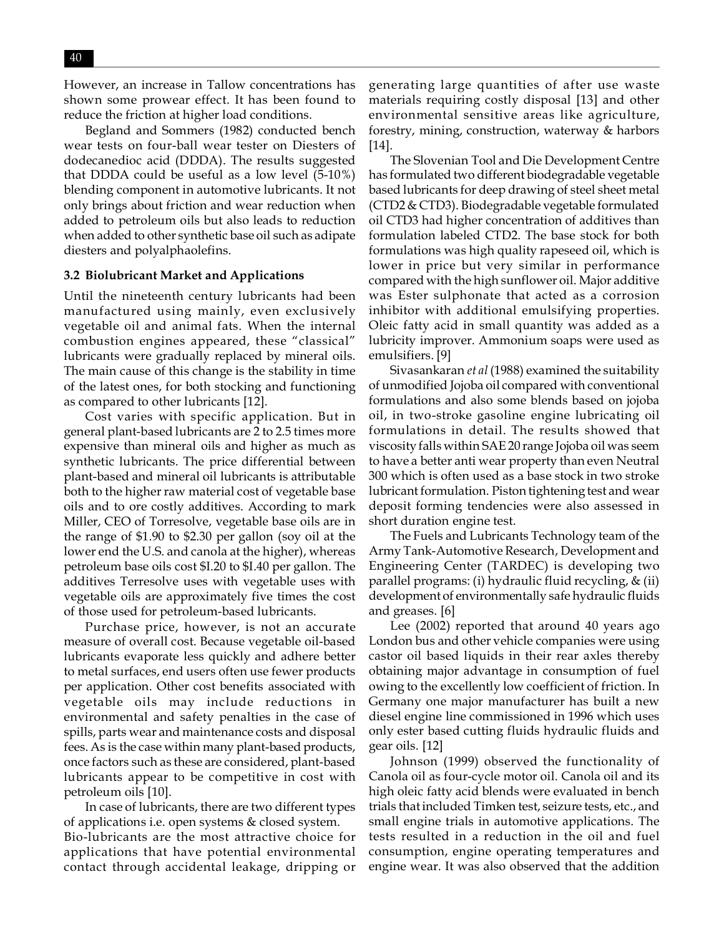However, an increase in Tallow concentrations has shown some prowear effect. It has been found to reduce the friction at higher load conditions.

Begland and Sommers (1982) conducted bench wear tests on four-ball wear tester on Diesters of dodecanedioc acid (DDDA). The results suggested that DDDA could be useful as a low level (5-10%) blending component in automotive lubricants. It not only brings about friction and wear reduction when added to petroleum oils but also leads to reduction when added to other synthetic base oil such as adipate diesters and polyalphaolefins.

#### **3.2 Biolubricant Market and Applications**

Until the nineteenth century lubricants had been manufactured using mainly, even exclusively vegetable oil and animal fats. When the internal combustion engines appeared, these "classical" lubricants were gradually replaced by mineral oils. The main cause of this change is the stability in time of the latest ones, for both stocking and functioning as compared to other lubricants [12].

Cost varies with specific application. But in general plant-based lubricants are 2 to 2.5 times more expensive than mineral oils and higher as much as synthetic lubricants. The price differential between plant-based and mineral oil lubricants is attributable both to the higher raw material cost of vegetable base oils and to ore costly additives. According to mark Miller, CEO of Torresolve, vegetable base oils are in the range of \$1.90 to \$2.30 per gallon (soy oil at the lower end the U.S. and canola at the higher), whereas petroleum base oils cost \$I.20 to \$I.40 per gallon. The additives Terresolve uses with vegetable uses with vegetable oils are approximately five times the cost of those used for petroleum-based lubricants.

Purchase price, however, is not an accurate measure of overall cost. Because vegetable oil-based lubricants evaporate less quickly and adhere better to metal surfaces, end users often use fewer products per application. Other cost benefits associated with vegetable oils may include reductions in environmental and safety penalties in the case of spills, parts wear and maintenance costs and disposal fees. As is the case within many plant-based products, once factors such as these are considered, plant-based lubricants appear to be competitive in cost with petroleum oils [10].

In case of lubricants, there are two different types of applications i.e. open systems & closed system. Bio-lubricants are the most attractive choice for applications that have potential environmental contact through accidental leakage, dripping or

generating large quantities of after use waste materials requiring costly disposal [13] and other environmental sensitive areas like agriculture, forestry, mining, construction, waterway & harbors [14].

The Slovenian Tool and Die Development Centre has formulated two different biodegradable vegetable based lubricants for deep drawing of steel sheet metal (CTD2 & CTD3). Biodegradable vegetable formulated oil CTD3 had higher concentration of additives than formulation labeled CTD2. The base stock for both formulations was high quality rapeseed oil, which is lower in price but very similar in performance compared with the high sunflower oil. Major additive was Ester sulphonate that acted as a corrosion inhibitor with additional emulsifying properties. Oleic fatty acid in small quantity was added as a lubricity improver. Ammonium soaps were used as emulsifiers. [9]

Sivasankaran *et al* (1988) examined the suitability of unmodified Jojoba oil compared with conventional formulations and also some blends based on jojoba oil, in two-stroke gasoline engine lubricating oil formulations in detail. The results showed that viscosity falls within SAE 20 range Jojoba oil was seem to have a better anti wear property than even Neutral 300 which is often used as a base stock in two stroke lubricant formulation. Piston tightening test and wear deposit forming tendencies were also assessed in short duration engine test.

The Fuels and Lubricants Technology team of the Army Tank-Automotive Research, Development and Engineering Center (TARDEC) is developing two parallel programs: (i) hydraulic fluid recycling, & (ii) development of environmentally safe hydraulic fluids and greases. [6]

Lee (2002) reported that around 40 years ago London bus and other vehicle companies were using castor oil based liquids in their rear axles thereby obtaining major advantage in consumption of fuel owing to the excellently low coefficient of friction. In Germany one major manufacturer has built a new diesel engine line commissioned in 1996 which uses only ester based cutting fluids hydraulic fluids and gear oils. [12]

Johnson (1999) observed the functionality of Canola oil as four-cycle motor oil. Canola oil and its high oleic fatty acid blends were evaluated in bench trials that included Timken test, seizure tests, etc., and small engine trials in automotive applications. The tests resulted in a reduction in the oil and fuel consumption, engine operating temperatures and engine wear. It was also observed that the addition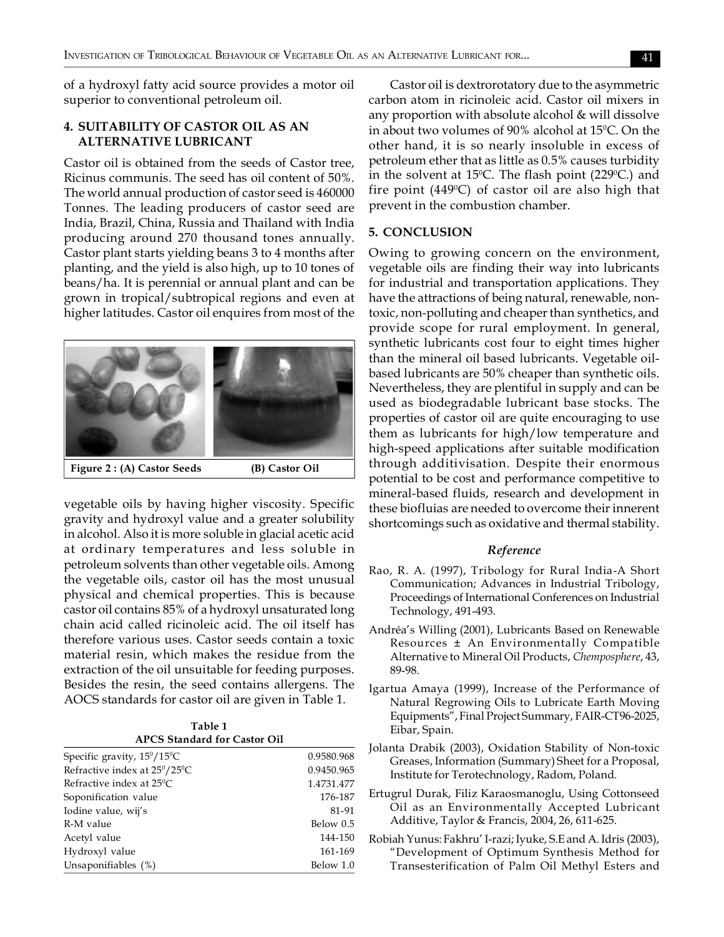of a hydroxyl fatty acid source provides a motor oil superior to conventional petroleum oil.

## **4. SUITABILITY OF CASTOR OIL AS AN ALTERNATIVE LUBRICANT**

Castor oil is obtained from the seeds of Castor tree, Ricinus communis. The seed has oil content of 50%. The world annual production of castor seed is 460000 Tonnes. The leading producers of castor seed are India, Brazil, China, Russia and Thailand with India producing around 270 thousand tones annually. Castor plant starts yielding beans 3 to 4 months after planting, and the yield is also high, up to 10 tones of beans/ha. It is perennial or annual plant and can be grown in tropical/subtropical regions and even at higher latitudes. Castor oil enquires from most of the



vegetable oils by having higher viscosity. Specific gravity and hydroxyl value and a greater solubility in alcohol. Also it is more soluble in glacial acetic acid at ordinary temperatures and less soluble in petroleum solvents than other vegetable oils. Among the vegetable oils, castor oil has the most unusual physical and chemical properties. This is because castor oil contains 85% of a hydroxyl unsaturated long chain acid called ricinoleic acid. The oil itself has therefore various uses. Castor seeds contain a toxic material resin, which makes the residue from the extraction of the oil unsuitable for feeding purposes. Besides the resin, the seed contains allergens. The AOCS standards for castor oil are given in Table 1.

| Table 1                             |
|-------------------------------------|
| <b>APCS Standard for Castor Oil</b> |

| Specific gravity, 15 <sup>0</sup> /15 <sup>0</sup> C | 0.9580.968 |
|------------------------------------------------------|------------|
| Refractive index at 25°/25°C                         | 0.9450.965 |
| Refractive index at $25^{\circ}$ C                   | 1.4731.477 |
| Soponification value                                 | 176-187    |
| Iodine value, wij's                                  | 81-91      |
| R-M value                                            | Below 0.5  |
| Acetyl value                                         | 144-150    |
| Hydroxyl value                                       | 161-169    |
| Unsaponifiables (%)                                  | Below 1.0  |

Castor oil is dextrorotatory due to the asymmetric carbon atom in ricinoleic acid. Castor oil mixers in any proportion with absolute alcohol & will dissolve in about two volumes of  $90\%$  alcohol at 15°C. On the other hand, it is so nearly insoluble in excess of petroleum ether that as little as 0.5% causes turbidity in the solvent at 15°C. The flash point (229°C.) and fire point (449 $^{\rm o}$ C) of castor oil are also high that prevent in the combustion chamber.

#### **5. CONCLUSION**

Owing to growing concern on the environment, vegetable oils are finding their way into lubricants for industrial and transportation applications. They have the attractions of being natural, renewable, nontoxic, non-polluting and cheaper than synthetics, and provide scope for rural employment. In general, synthetic lubricants cost four to eight times higher than the mineral oil based lubricants. Vegetable oilbased lubricants are 50% cheaper than synthetic oils. Nevertheless, they are plentiful in supply and can be used as biodegradable lubricant base stocks. The properties of castor oil are quite encouraging to use them as lubricants for high/low temperature and high-speed applications after suitable modification through additivisation. Despite their enormous potential to be cost and performance competitive to mineral-based fluids, research and development in these biofluias are needed to overcome their innerent shortcomings such as oxidative and thermal stability.

#### *Reference*

- Rao, R. A. (1997), Tribology for Rural India-A Short Communication; Advances in Industrial Tribology, Proceedings of International Conferences on Industrial Technology, 491-493.
- Andréa's Willing (2001), Lubricants Based on Renewable Resources ± An Environmentally Compatible Alternative to Mineral Oil Products, *Chemposphere*, 43, 89-98.
- Igartua Amaya (1999), Increase of the Performance of Natural Regrowing Oils to Lubricate Earth Moving Equipments", Final Project Summary, FAIR-CT96-2025, Eibar, Spain.
- Jolanta Drabik (2003), Oxidation Stability of Non-toxic Greases, Information (Summary) Sheet for a Proposal, Institute for Terotechnology, Radom, Poland.
- Ertugrul Durak, Filiz Karaosmanoglu, Using Cottonseed Oil as an Environmentally Accepted Lubricant Additive, Taylor & Francis, 2004, 26, 611-625.
- Robiah Yunus: Fakhru' I-razi; Iyuke, S.E and A. Idris (2003), "Development of Optimum Synthesis Method for Transesterification of Palm Oil Methyl Esters and